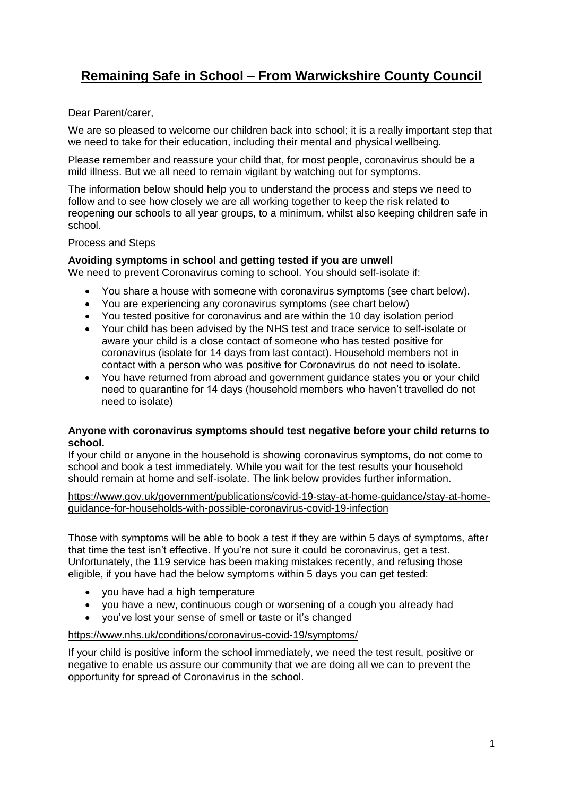# **Remaining Safe in School – From Warwickshire County Council**

# Dear Parent/carer,

We are so pleased to welcome our children back into school; it is a really important step that we need to take for their education, including their mental and physical wellbeing.

Please remember and reassure your child that, for most people, coronavirus should be a mild illness. But we all need to remain vigilant by watching out for symptoms.

The information below should help you to understand the process and steps we need to follow and to see how closely we are all working together to keep the risk related to reopening our schools to all year groups, to a minimum, whilst also keeping children safe in school.

# Process and Steps

#### **Avoiding symptoms in school and getting tested if you are unwell**

We need to prevent Coronavirus coming to school. You should self-isolate if:

- You share a house with someone with coronavirus symptoms (see chart below).
- You are experiencing any coronavirus symptoms (see chart below)
- You tested positive for coronavirus and are within the 10 day isolation period
- Your child has been advised by the NHS test and trace service to self-isolate or aware your child is a close contact of someone who has tested positive for coronavirus (isolate for 14 days from last contact). Household members not in contact with a person who was positive for Coronavirus do not need to isolate.
- You have returned from abroad and government guidance states you or your child need to quarantine for 14 days (household members who haven't travelled do not need to isolate)

#### **Anyone with coronavirus symptoms should test negative before your child returns to school.**

If your child or anyone in the household is showing coronavirus symptoms, do not come to school and book a test immediately. While you wait for the test results your household should remain at home and self-isolate. The link below provides further information.

[https://www.gov.uk/government/publications/covid-19-stay-at-home-guidance/stay-at-home](https://www.gov.uk/government/publications/covid-19-stay-at-home-guidance/stay-at-home-guidance-for-households-with-possible-coronavirus-covid-19-infection)[guidance-for-households-with-possible-coronavirus-covid-19-infection](https://www.gov.uk/government/publications/covid-19-stay-at-home-guidance/stay-at-home-guidance-for-households-with-possible-coronavirus-covid-19-infection)

Those with symptoms will be able to book a test if they are within 5 days of symptoms, after that time the test isn't effective. If you're not sure it could be coronavirus, get a test. Unfortunately, the 119 service has been making mistakes recently, and refusing those eligible, if you have had the below symptoms within 5 days you can get tested:

- you have had a high temperature
- you have a new, continuous cough or worsening of a cough you already had
- you've lost your sense of smell or taste or it's changed

#### <https://www.nhs.uk/conditions/coronavirus-covid-19/symptoms/>

If your child is positive inform the school immediately, we need the test result, positive or negative to enable us assure our community that we are doing all we can to prevent the opportunity for spread of Coronavirus in the school.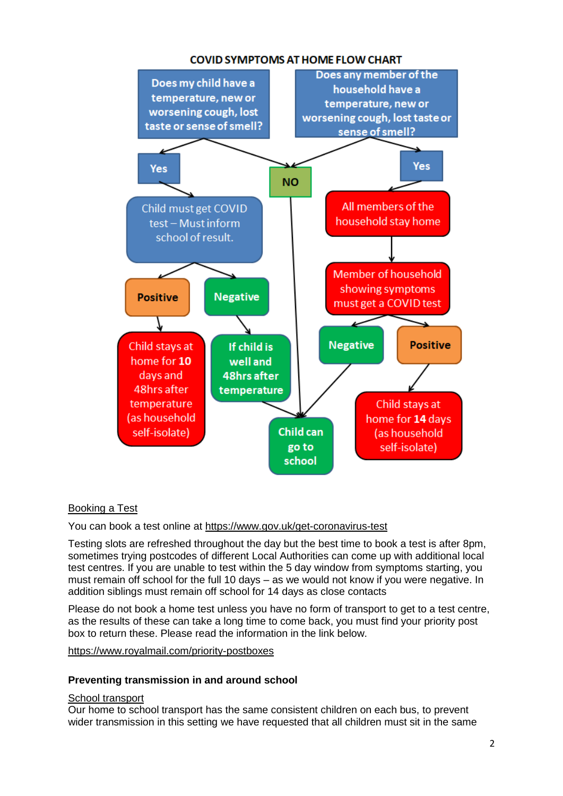# **COVID SYMPTOMS AT HOME FLOW CHART**



# Booking a Test

You can book a test online at<https://www.gov.uk/get-coronavirus-test>

Testing slots are refreshed throughout the day but the best time to book a test is after 8pm, sometimes trying postcodes of different Local Authorities can come up with additional local test centres. If you are unable to test within the 5 day window from symptoms starting, you must remain off school for the full 10 days – as we would not know if you were negative. In addition siblings must remain off school for 14 days as close contacts

Please do not book a home test unless you have no form of transport to get to a test centre, as the results of these can take a long time to come back, you must find your priority post box to return these. Please read the information in the link below.

# <https://www.royalmail.com/priority-postboxes>

# **Preventing transmission in and around school**

#### School transport

Our home to school transport has the same consistent children on each bus, to prevent wider transmission in this setting we have requested that all children must sit in the same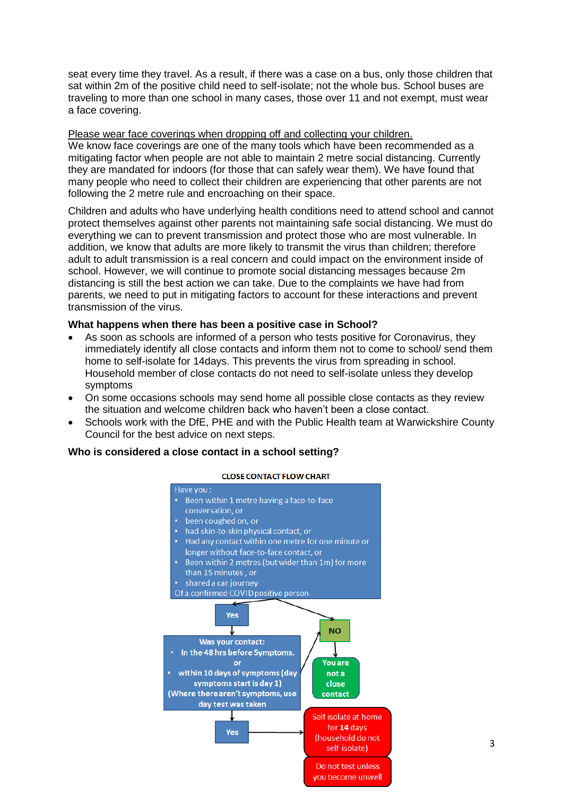seat every time they travel. As a result, if there was a case on a bus, only those children that sat within 2m of the positive child need to self-isolate; not the whole bus. School buses are traveling to more than one school in many cases, those over 11 and not exempt, must wear a face covering.

#### Please wear face coverings when dropping off and collecting your children.

We know face coverings are one of the many tools which have been recommended as a mitigating factor when people are not able to maintain 2 metre social distancing. Currently they are mandated for indoors (for those that can safely wear them). We have found that many people who need to collect their children are experiencing that other parents are not following the 2 metre rule and encroaching on their space.

Children and adults who have underlying health conditions need to attend school and cannot protect themselves against other parents not maintaining safe social distancing. We must do everything we can to prevent transmission and protect those who are most vulnerable. In addition, we know that adults are more likely to transmit the virus than children; therefore adult to adult transmission is a real concern and could impact on the environment inside of school. However, we will continue to promote social distancing messages because 2m distancing is still the best action we can take. Due to the complaints we have had from parents, we need to put in mitigating factors to account for these interactions and prevent transmission of the virus.

#### **What happens when there has been a positive case in School?**

- As soon as schools are informed of a person who tests positive for Coronavirus, they immediately identify all close contacts and inform them not to come to school/ send them home to self-isolate for 14days. This prevents the virus from spreading in school. Household member of close contacts do not need to self-isolate unless they develop symptoms
- On some occasions schools may send home all possible close contacts as they review the situation and welcome children back who haven't been a close contact.
- Schools work with the DfE, PHE and with the Public Health team at Warwickshire County Council for the best advice on next steps.

# **Who is considered a close contact in a school setting?**

#### **CLOSE CONTACT FLOW CHART**